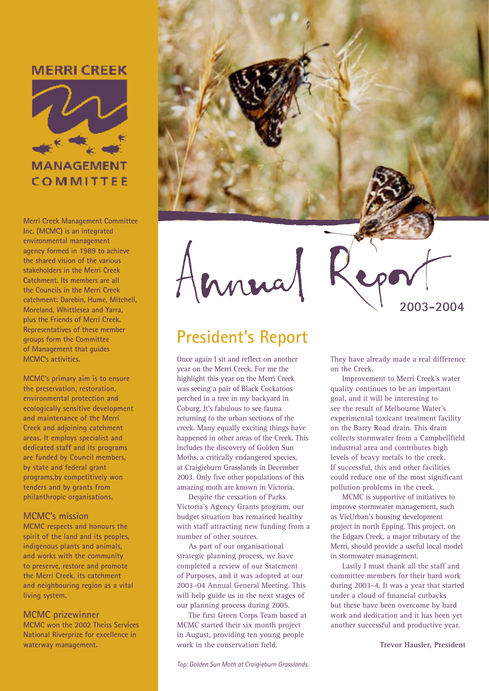### **MERRI CREEK**



COMMITTEE

**Merri Creek Management Committee Inc. (MCMC) is an integrated environmental management agency formed in 1989 to achieve the shared vision of the various stakeholders in the Merri Creek Catchment. Its members are all the Councils in the Merri Creek catchment: Darebin, Hume, Mitchell, Moreland, Whittlesea and Yarra, plus the Friends of Merri Creek. Representatives of these member groups form the Committee of Management that guides MCMC's activities.**

**MCMC's primary aim is to ensure the preservation, restoration, environmental protection and ecologically sensitive development and maintenance of the Merri Creek and adjoining catchment areas. It employs specialist and dedicated staff and its programs are funded by Council members, by state and federal grant programs,by competitively won tenders and by grants from philanthropic organisations.**

#### **MCMC's mission**

**MCMC respects and honours the spirit of the land and its peoples, indigenous plants and animals, and works with the community to preserve, restore and promote the Merri Creek, its catchment and neighbouring region as a vital living system.**

#### **MCMC prizewinner**

**MCMC won the 2002 Theiss Services National Riverprize for excellence in waterway management.**



Annua

### **President's Report**

Once again I sit and reflect on another year on the Merri Creek. For me the highlight this year on the Merri Creek was seeing a pair of Black Cockatoos perched in a tree in my backyard in Coburg. It's fabulous to see fauna returning to the urban sections of the creek. Many equally exciting things have happened in other areas of the Creek. This includes the discovery of Golden Sun Moths, a critically endangered species, at Craigieburn Grasslands in December 2003. Only five other populations of this amazing moth are known in Victoria.

Despite the cessation of Parks Victoria's Agency Grants program, our budget situation has remained healthy with staff attracting new funding from a number of other sources.

As part of our organisational strategic planning process, we have completed a review of our Statement of Purposes, and it was adopted at our 2003–04 Annual General Meeting. This will help guide us in the next stages of our planning process during 2005.

The first Green Corps Team based at MCMC started their six month project in August, providing ten young people work in the conservation field.

They have already made a real difference on the Creek.

**2003-2004**

Improvement to Merri Creek's water quality continues to be an important goal, and it will be interesting to see the result of Melbourne Water's experimental toxicant treatment facility on the Barry Road drain. This drain collects stormwater from a Campbellfield industrial area and contributes high levels of heavy metals to the creek. If successful, this and other facilities could reduce one of the most significant pollution problems in the creek.

MCMC is supportive of initiatives to improve stormwater management, such as VicUrban's housing development project in north Epping. This project, on the Edgars Creek, a major tributary of the Merri, should provide a useful local model in stormwater management.

Lastly I must thank all the staff and committee members for their hard work during 2003–4. It was a year that started under a cloud of financial cutbacks but these have been overcome by hard work and dedication and it has been yet another successful and productive year.

**Trevor Hausler, President**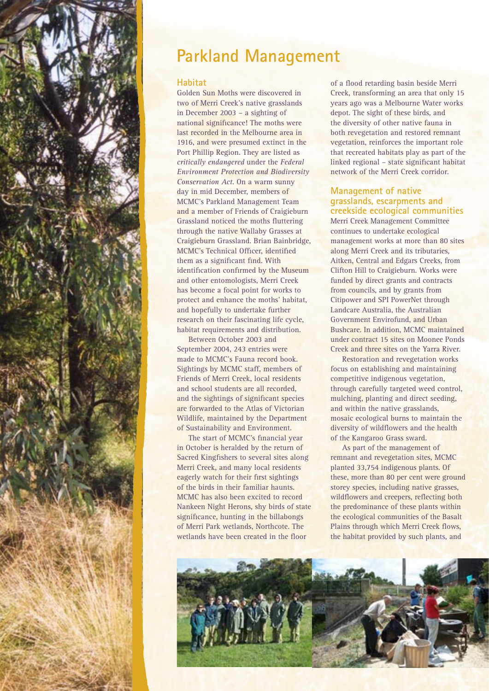

## **Parkland Management**

#### **Habitat**

Golden Sun Moths were discovered in two of Merri Creek's native grasslands in December 2003 – a sighting of national significance! The moths were last recorded in the Melbourne area in 1916, and were presumed extinct in the Port Phillip Region. They are listed as *critically endangered* under the *Federal Environment Protection and Biodiversity Conservation Act*. On a warm sunny day in mid December, members of MCMC's Parkland Management Team and a member of Friends of Craigieburn Grassland noticed the moths fluttering through the native Wallaby Grasses at Craigieburn Grassland. Brian Bainbridge, MCMC's Technical Officer, identified them as a significant find. With identification confirmed by the Museum and other entomologists, Merri Creek has become a focal point for works to protect and enhance the moths' habitat, and hopefully to undertake further research on their fascinating life cycle, habitat requirements and distribution.

Between October 2003 and September 2004, 243 entries were made to MCMC's Fauna record book. Sightings by MCMC staff, members of Friends of Merri Creek, local residents and school students are all recorded, and the sightings of significant species are forwarded to the Atlas of Victorian Wildlife, maintained by the Department of Sustainability and Environment.

The start of MCMC's financial year in October is heralded by the return of Sacred Kingfishers to several sites along Merri Creek, and many local residents eagerly watch for their first sightings of the birds in their familiar haunts. MCMC has also been excited to record Nankeen Night Herons, shy birds of state significance, hunting in the billabongs of Merri Park wetlands, Northcote. The wetlands have been created in the floor

of a flood retarding basin beside Merri Creek, transforming an area that only 15 years ago was a Melbourne Water works depot. The sight of these birds, and the diversity of other native fauna in both revegetation and restored remnant vegetation, reinforces the important role that recreated habitats play as part of the linked regional – state significant habitat network of the Merri Creek corridor.

#### **Management of native grasslands, escarpments and creekside ecological communities**

Merri Creek Management Committee continues to undertake ecological management works at more than 80 sites along Merri Creek and its tributaries, Aitken, Central and Edgars Creeks, from Clifton Hill to Craigieburn. Works were funded by direct grants and contracts from councils, and by grants from Citipower and SPI PowerNet through Landcare Australia, the Australian Government Envirofund, and Urban Bushcare. In addition, MCMC maintained under contract 15 sites on Moonee Ponds Creek and three sites on the Yarra River.

Restoration and revegetation works focus on establishing and maintaining competitive indigenous vegetation, through carefully targeted weed control, mulching, planting and direct seeding, and within the native grasslands, mosaic ecological burns to maintain the diversity of wildflowers and the health of the Kangaroo Grass sward.

As part of the management of remnant and revegetation sites, MCMC planted 33,754 indigenous plants. Of these, more than 80 per cent were ground storey species, including native grasses, wildflowers and creepers, reflecting both the predominance of these plants within the ecological communities of the Basalt Plains through which Merri Creek flows, the habitat provided by such plants, and

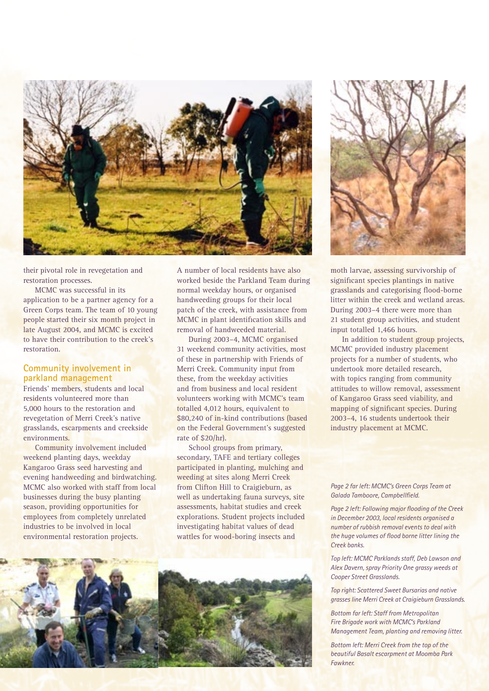

their pivotal role in revegetation and restoration processes.

MCMC was successful in its application to be a partner agency for a Green Corps team. The team of 10 young people started their six month project in late August 2004, and MCMC is excited to have their contribution to the creek's restoration.

#### **Community involvement in parkland management**

Friends' members, students and local residents volunteered more than 5,000 hours to the restoration and revegetation of Merri Creek's native grasslands, escarpments and creekside environments.

Community involvement included weekend planting days, weekday Kangaroo Grass seed harvesting and evening handweeding and birdwatching. MCMC also worked with staff from local businesses during the busy planting season, providing opportunities for employees from completely unrelated industries to be involved in local environmental restoration projects.

A number of local residents have also worked beside the Parkland Team during normal weekday hours, or organised handweeding groups for their local patch of the creek, with assistance from MCMC in plant identification skills and removal of handweeded material.

During 2003–4, MCMC organised 31 weekend community activities, most of these in partnership with Friends of Merri Creek. Community input from these, from the weekday activities and from business and local resident volunteers working with MCMC's team totalled 4,012 hours, equivalent to \$80,240 of in-kind contributions (based on the Federal Government's suggested rate of \$20/hr).

School groups from primary, secondary, TAFE and tertiary colleges participated in planting, mulching and weeding at sites along Merri Creek from Clifton Hill to Craigieburn, as well as undertaking fauna surveys, site assessments, habitat studies and creek explorations. Student projects included investigating habitat values of dead wattles for wood-boring insects and



moth larvae, assessing survivorship of significant species plantings in native grasslands and categorising flood-borne litter within the creek and wetland areas. During 2003–4 there were more than 21 student group activities, and student input totalled 1,466 hours.

In addition to student group projects, MCMC provided industry placement projects for a number of students, who undertook more detailed research, with topics ranging from community attitudes to willow removal, assessment of Kangaroo Grass seed viability, and mapping of significant species. During 2003–4, 16 students undertook their industry placement at MCMC.

*Page 2 far left: MCMC's Green Corps Team at Galada Tamboore, Campbellfield.*

*Page 2 left: Following major flooding of the Creek in December 2003, local residents organised a number of rubbish removal events to deal with the huge volumes of flood borne litter lining the Creek banks.*

*Top left: MCMC Parklands staff, Deb Lawson and Alex Davern, spray Priority One grassy weeds at Cooper Street Grasslands.*

*Top right: Scattered Sweet Bursarias and native grasses line Merri Creek at Craigieburn Grasslands.*

*Bottom far left: Staff from Metropolitan Fire Brigade work with MCMC's Parkland Management Team, planting and removing litter.*

*Bottom left: Merri Creek from the top of the beautiful Basalt escarpment at Moomba Park Fawkner.*

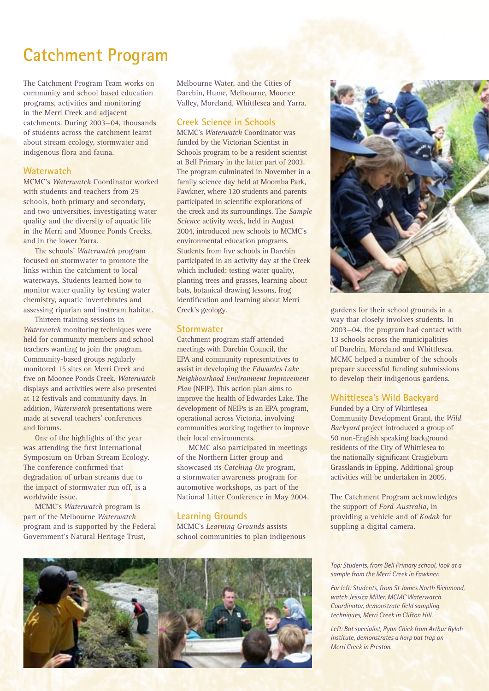# **Catchment Program**

The Catchment Program Team works on community and school based education programs, activities and monitoring in the Merri Creek and adjacent catchments. During 2003—04, thousands of students across the catchment learnt about stream ecology, stormwater and indigenous flora and fauna.

#### **Waterwatch**

MCMC's *Waterwatch* Coordinator worked with students and teachers from 25 schools, both primary and secondary, and two universities, investigating water quality and the diversity of aquatic life in the Merri and Moonee Ponds Creeks, and in the lower Yarra.

The schools' *Waterwatch* program focused on stormwater to promote the links within the catchment to local waterways. Students learned how to monitor water quality by testing water chemistry, aquatic invertebrates and assessing riparian and instream habitat.

Thirteen training sessions in *Waterwatch* monitoring techniques were held for community members and school teachers wanting to join the program. Community-based groups regularly monitored 15 sites on Merri Creek and five on Moonee Ponds Creek. *Waterwatch*  displays and activities were also presented at 12 festivals and community days. In addition, *Waterwatch* presentations were made at several teachers' conferences and forums.

One of the highlights of the year was attending the first International Symposium on Urban Stream Ecology. The conference confirmed that degradation of urban streams due to the impact of stormwater run off, is a worldwide issue.

MCMC's *Waterwatch* program is part of the Melbourne *Waterwatch*  program and is supported by the Federal Government's Natural Heritage Trust,

Melbourne Water, and the Cities of Darebin, Hume, Melbourne, Moonee Valley, Moreland, Whittlesea and Yarra.

#### **Creek Science in Schools**

MCMC's *Waterwatch* Coordinator was funded by the Victorian Scientist in Schools program to be a resident scientist at Bell Primary in the latter part of 2003. The program culminated in November in a family science day held at Moomba Park, Fawkner, where 120 students and parents participated in scientific explorations of the creek and its surroundings. The *Sample Science* activity week, held in August 2004, introduced new schools to MCMC's environmental education programs. Students from five schools in Darebin participated in an activity day at the Creek which included: testing water quality, planting trees and grasses, learning about bats, botanical drawing lessons, frog identification and learning about Merri Creek's geology.

#### **Stormwater**

Catchment program staff attended meetings with Darebin Council, the EPA and community representatives to assist in developing the *Edwardes Lake Neighbourhood Environment Improvement Plan (NEIP)*. This action plan aims to improve the health of Edwardes Lake. The development of NEIPs is an EPA program, operational across Victoria, involving communities working together to improve their local environments.

MCMC also participated in meetings of the Northern Litter group and showcased its *Catching On* program, a stormwater awareness program for automotive workshops, as part of the National Litter Conference in May 2004.

#### **Learning Grounds**

MCMC's *Learning Grounds* assists school communities to plan indigenous



gardens for their school grounds in a way that closely involves students. In 2003—04, the program had contact with 13 schools across the municipalities of Darebin, Moreland and Whittlesea. MCMC helped a number of the schools prepare successful funding submissions to develop their indigenous gardens.

#### **Whittlesea's Wild Backyard**

Funded by a City of Whittlesea Community Development Grant, the *Wild Backyard* project introduced a group of 50 non-English speaking background residents of the City of Whittlesea to the nationally significant Craigieburn Grasslands in Epping. Additional group activities will be undertaken in 2005.

The Catchment Program acknowledges the support of *Ford Australia*, in providing a vehicle and of *Kodak* for suppling a digital camera.



*Top: Students, from Bell Primary school, look at a sample from the Merri Creek in Fawkner.*

*Far left: Students, from St James North Richmond, watch Jessica Miller, MCMC Waterwatch Coordinator, demonstrate field sampling techniques, Merri Creek in Clifton Hill.* 

*Left: Bat specialist, Ryan Chick from Arthur Rylah Institute, demonstrates a harp bat trap on Merri Creek in Preston.*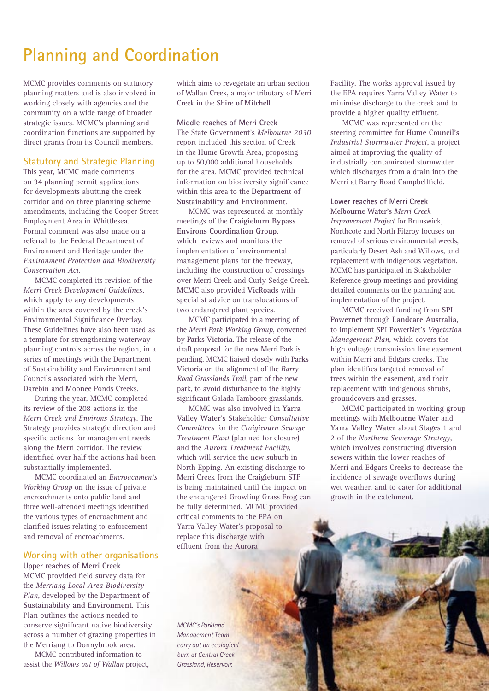## **Planning and Coordination**

MCMC provides comments on statutory planning matters and is also involved in working closely with agencies and the community on a wide range of broader strategic issues. MCMC's planning and coordination functions are supported by direct grants from its Council members.

#### **Statutory and Strategic Planning**

This year, MCMC made comments on 34 planning permit applications for developments abutting the creek corridor and on three planning scheme amendments, including the Cooper Street Employment Area in Whittlesea. Formal comment was also made on a referral to the Federal Department of Environment and Heritage under the *Environment Protection and Biodiversity Conservation Act*.

MCMC completed its revision of the *Merri Creek Development Guidelines*, which apply to any developments within the area covered by the creek's Environmental Significance Overlay. These Guidelines have also been used as a template for strengthening waterway planning controls across the region, in a series of meetings with the Department of Sustainability and Environment and Councils associated with the Merri, Darebin and Moonee Ponds Creeks.

During the year, MCMC completed its review of the 208 actions in the *Merri Creek and Environs Strategy*. The Strategy provides strategic direction and specific actions for management needs along the Merri corridor. The review identified over half the actions had been substantially implemented.

MCMC coordinated an *Encroachments Working Group* on the issue of private encroachments onto public land and three well-attended meetings identified the various types of encroachment and clarified issues relating to enforcement and removal of encroachments.

#### **Working with other organisations**

**Upper reaches of Merri Creek**  MCMC provided field survey data for the *Merriang Local Area Biodiversity Plan*, developed by the **Department of Sustainability and Environment**. This Plan outlines the actions needed to conserve significant native biodiversity across a number of grazing properties in the Merriang to Donnybrook area.

MCMC contributed information to assist the *Willows out of Wallan* project, which aims to revegetate an urban section of Wallan Creek, a major tributary of Merri Creek in the **Shire of Mitchell**.

#### **Middle reaches of Merri Creek**

The State Government's *Melbourne 2030* report included this section of Creek in the Hume Growth Area, proposing up to 50,000 additional households for the area. MCMC provided technical information on biodiversity significance within this area to the **Department of Sustainability and Environment**.

MCMC was represented at monthly meetings of the **Craigieburn Bypass Environs Coordination Group**, which reviews and monitors the implementation of environmental management plans for the freeway, including the construction of crossings over Merri Creek and Curly Sedge Creek. MCMC also provided **VicRoads** with specialist advice on translocations of two endangered plant species.

MCMC participated in a meeting of the *Merri Park Working Group*, convened by **Parks Victoria**. The release of the draft proposal for the new Merri Park is pending. MCMC liaised closely with **Parks Victoria** on the alignment of the *Barry Road Grasslands Trail*, part of the new park, to avoid disturbance to the highly significant Galada Tamboore grasslands.

MCMC was also involved in **Yarra Valley Water's** Stakeholder *Consultative Committees* for the *Craigieburn Sewage Treatment Plant* (planned for closure) and the *Aurora Treatment Facility*, which will service the new suburb in North Epping. An existing discharge to Merri Creek from the Craigieburn STP is being maintained until the impact on the endangered Growling Grass Frog can be fully determined. MCMC provided critical comments to the EPA on Yarra Valley Water's proposal to replace this discharge with effluent from the Aurora

*MCMC's Parkland Management Team carry out an ecological burn at Central Creek Grassland, Reservoir.*

Facility. The works approval issued by the EPA requires Yarra Valley Water to minimise discharge to the creek and to provide a higher quality effluent.

MCMC was represented on the steering committee for **Hume Council's** *Industrial Stormwater Project*, a project aimed at improving the quality of industrially contaminated stormwater which discharges from a drain into the Merri at Barry Road Campbellfield.

#### **Lower reaches of Merri Creek**

**Melbourne Water's** *Merri Creek Improvement Project* for Brunswick, Northcote and North Fitzroy focuses on removal of serious environmental weeds, particularly Desert Ash and Willows, and replacement with indigenous vegetation. MCMC has participated in Stakeholder Reference group meetings and providing detailed comments on the planning and implementation of the project.

MCMC received funding from **SPI Powernet** through **Landcare Australia**, to implement SPI PowerNet's *Vegetation Management Plan*, which covers the high voltage transmission line easement within Merri and Edgars creeks. The plan identifies targeted removal of trees within the easement, and their replacement with indigenous shrubs, groundcovers and grasses.

MCMC participated in working group meetings with **Melbourne Water** and **Yarra Valley Water** about Stages 1 and 2 of the *Northern Sewerage Strategy*, which involves constructing diversion sewers within the lower reaches of Merri and Edgars Creeks to decrease the incidence of sewage overflows during wet weather, and to cater for additional growth in the catchment.